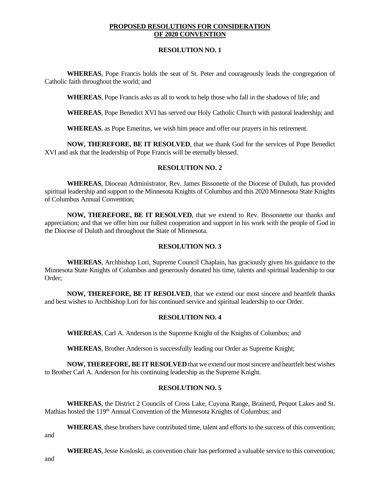## **PROPOSED RESOLUTIONS FOR CONSIDERATION OF 2020 CONVENTION**

## **RESOLUTION NO. 1**

**WHEREAS**, Pope Francis holds the seat of St. Peter and courageously leads the congregation of Catholic faith throughout the world; and

**WHEREAS**, Pope Francis asks us all to work to help those who fall in the shadows of life; and

**WHEREAS**, Pope Benedict XVI has served our Holy Catholic Church with pastoral leadership; and

**WHEREAS**, as Pope Emeritus, we wish him peace and offer our prayers in his retirement.

**NOW, THEREFORE, BE IT RESOLVED**, that we thank God for the services of Pope Benedict XVI and ask that the leadership of Pope Francis will be eternally blessed.

## **RESOLUTION NO. 2**

**WHEREAS**, Diocean Administrator, Rev. James Bissonette of the Diocese of Duluth, has provided spiritual leadership and support to the Minnesota Knights of Columbus and this 2020 Minnesota State Knights of Columbus Annual Convention;

**NOW, THEREFORE, BE IT RESOLVED**, that we extend to Rev. Bissonnette our thanks and appreciation; and that we offer him our fullest cooperation and support in his work with the people of God in the Diocese of Duluth and throughout the State of Minnesota.

#### **RESOLUTION NO. 3**

**WHEREAS**, Archbishop Lori, Supreme Council Chaplain, has graciously given his guidance to the Minnesota State Knights of Columbus and generously donated his time, talents and spiritual leadership to our Order;

**NOW, THEREFORE, BE IT RESOLVED**, that we extend our most sincere and heartfelt thanks and best wishes to Archbishop Lori for his continued service and spiritual leadership to our Order.

## **RESOLUTION NO. 4**

**WHEREAS**, Carl A. Anderson is the Supreme Knight of the Knights of Columbus; and

**WHEREAS**, Brother Anderson is successfully leading our Order as Supreme Knight;

**NOW, THEREFORE, BE IT RESOLVED** that we extend our most sincere and heartfelt best wishes to Brother Carl A. Anderson for his continuing leadership as the Supreme Knight.

#### **RESOLUTION NO. 5**

**WHEREAS**, the District 2 Councils of Cross Lake, Cuyuna Range, Brainerd, Pequot Lakes and St. Mathias hosted the 119<sup>th</sup> Annual Convention of the Minnesota Knights of Columbus; and

**WHEREAS**, these brothers have contributed time, talent and efforts to the success of this convention;

and

**WHEREAS**, Jesse Kosloski, as convention chair has performed a valuable service to this convention;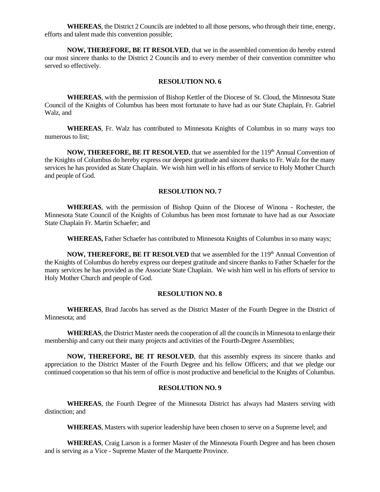**WHEREAS**, the District 2 Councils are indebted to all those persons, who through their time, energy, efforts and talent made this convention possible;

**NOW, THEREFORE, BE IT RESOLVED**, that we in the assembled convention do hereby extend our most sincere thanks to the District 2 Councils and to every member of their convention committee who served so effectively.

## **RESOLUTION NO. 6**

**WHEREAS**, with the permission of Bishop Kettler of the Diocese of St. Cloud, the Minnesota State Council of the Knights of Columbus has been most fortunate to have had as our State Chaplain, Fr. Gabriel Walz, and

**WHEREAS**, Fr. Walz has contributed to Minnesota Knights of Columbus in so many ways too numerous to list;

NOW, THEREFORE, BE IT RESOLVED, that we assembled for the 119<sup>th</sup> Annual Convention of the Knights of Columbus do hereby express our deepest gratitude and sincere thanks to Fr. Walz for the many services he has provided as State Chaplain. We wish him well in his efforts of service to Holy Mother Church and people of God.

#### **RESOLUTION NO. 7**

**WHEREAS**, with the permission of Bishop Quinn of the Diocese of Winona - Rochester, the Minnesota State Council of the Knights of Columbus has been most fortunate to have had as our Associate State Chaplain Fr. Martin Schaefer; and

**WHEREAS,** Father Schaefer has contributed to Minnesota Knights of Columbus in so many ways;

NOW, THEREFORE, BE IT RESOLVED that we assembled for the 119<sup>th</sup> Annual Convention of the Knights of Columbus do hereby express our deepest gratitude and sincere thanks to Father Schaefer for the many services he has provided as the Associate State Chaplain. We wish him well in his efforts of service to Holy Mother Church and people of God.

#### **RESOLUTION NO. 8**

**WHEREAS**, Brad Jacobs has served as the District Master of the Fourth Degree in the District of Minnesota; and

**WHEREAS**, the District Master needs the cooperation of all the councils in Minnesota to enlarge their membership and carry out their many projects and activities of the Fourth-Degree Assemblies;

**NOW, THEREFORE, BE IT RESOLVED**, that this assembly express its sincere thanks and appreciation to the District Master of the Fourth Degree and his fellow Officers; and that we pledge our continued cooperation so that his term of office is most productive and beneficial to the Knights of Columbus.

### **RESOLUTION NO. 9**

**WHEREAS**, the Fourth Degree of the Minnesota District has always had Masters serving with distinction; and

**WHEREAS**, Masters with superior leadership have been chosen to serve on a Supreme level; and

**WHEREAS**, Craig Larson is a former Master of the Minnesota Fourth Degree and has been chosen and is serving as a Vice - Supreme Master of the Marquette Province.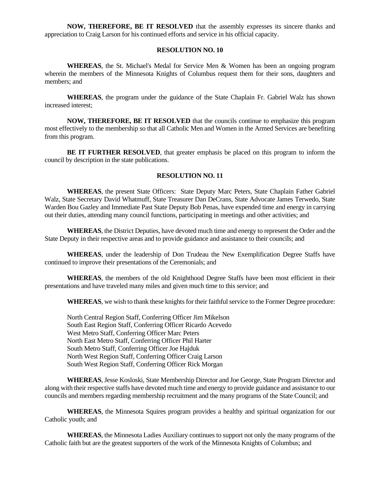**NOW, THEREFORE, BE IT RESOLVED** that the assembly expresses its sincere thanks and appreciation to Craig Larson for his continued efforts and service in his official capacity.

### **RESOLUTION NO. 10**

**WHEREAS**, the St. Michael's Medal for Service Men & Women has been an ongoing program wherein the members of the Minnesota Knights of Columbus request them for their sons, daughters and members; and

**WHEREAS**, the program under the guidance of the State Chaplain Fr. Gabriel Walz has shown increased interest;

**NOW, THEREFORE, BE IT RESOLVED** that the councils continue to emphasize this program most effectively to the membership so that all Catholic Men and Women in the Armed Services are benefiting from this program.

**BE IT FURTHER RESOLVED**, that greater emphasis be placed on this program to inform the council by description in the state publications.

### **RESOLUTION NO. 11**

**WHEREAS**, the present State Officers: State Deputy Marc Peters, State Chaplain Father Gabriel Walz, State Secretary David Whatmuff, State Treasurer Dan DeCrans, State Advocate James Terwedo, State Warden Bou Gazley and Immediate Past State Deputy Bob Penas, have expended time and energy in carrying out their duties, attending many council functions, participating in meetings and other activities; and

**WHEREAS**, the District Deputies, have devoted much time and energy to represent the Order and the State Deputy in their respective areas and to provide guidance and assistance to their councils; and

**WHEREAS**, under the leadership of Don Trudeau the New Exemplification Degree Staffs have continued to improve their presentations of the Ceremonials; and

**WHEREAS**, the members of the old Knighthood Degree Staffs have been most efficient in their presentations and have traveled many miles and given much time to this service; and

**WHEREAS**, we wish to thank these knights for their faithful service to the Former Degree procedure:

North Central Region Staff, Conferring Officer Jim Mikelson South East Region Staff, Conferring Officer Ricardo Acevedo West Metro Staff, Conferring Officer Marc Peters North East Metro Staff, Conferring Officer Phil Harter South Metro Staff, Conferring Officer Joe Hajduk North West Region Staff, Conferring Officer Craig Larson South West Region Staff, Conferring Officer Rick Morgan

**WHEREAS**, Jesse Kosloski, State Membership Director and Joe George, State Program Director and along with their respective staffs have devoted much time and energy to provide guidance and assistance to our councils and members regarding membership recruitment and the many programs of the State Council; and

**WHEREAS**, the Minnesota Squires program provides a healthy and spiritual organization for our Catholic youth; and

**WHEREAS**, the Minnesota Ladies Auxiliary continues to support not only the many programs of the Catholic faith but are the greatest supporters of the work of the Minnesota Knights of Columbus; and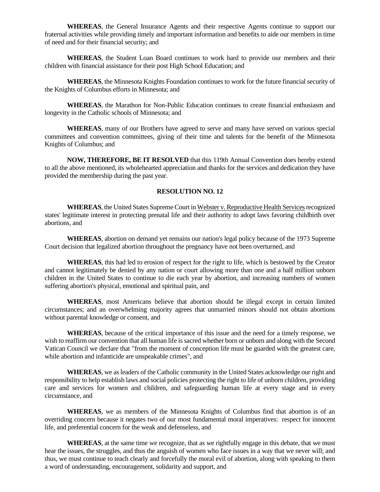**WHEREAS**, the General Insurance Agents and their respective Agents continue to support our fraternal activities while providing timely and important information and benefits to aide our members in time of need and for their financial security; and

**WHEREAS**, the Student Loan Board continues to work hard to provide our members and their children with financial assistance for their post High School Education; and

**WHEREAS**, the Minnesota Knights Foundation continues to work for the future financial security of the Knights of Columbus efforts in Minnesota; and

**WHEREAS**, the Marathon for Non-Public Education continues to create financial enthusiasm and longevity in the Catholic schools of Minnesota; and

**WHEREAS**, many of our Brothers have agreed to serve and many have served on various special committees and convention committees, giving of their time and talents for the benefit of the Minnesota Knights of Columbus; and

**NOW, THEREFORE, BE IT RESOLVED** that this 119th Annual Convention does hereby extend to all the above mentioned, its wholehearted appreciation and thanks for the services and dedication they have provided the membership during the past year.

### **RESOLUTION NO. 12**

**WHEREAS**, the United States Supreme Court in Webster v. Reproductive Health Services recognized states' legitimate interest in protecting prenatal life and their authority to adopt laws favoring childbirth over abortions, and

**WHEREAS**, abortion on demand yet remains our nation's legal policy because of the 1973 Supreme Court decision that legalized abortion throughout the pregnancy have not been overturned, and

**WHEREAS**, this had led to erosion of respect for the right to life, which is bestowed by the Creator and cannot legitimately be denied by any nation or court allowing more than one and a half million unborn children in the United States to continue to die each year by abortion, and increasing numbers of women suffering abortion's physical, emotional and spiritual pain, and

**WHEREAS**, most Americans believe that abortion should be illegal except in certain limited circumstances; and an overwhelming majority agrees that unmarried minors should not obtain abortions without parental knowledge or consent, and

**WHEREAS**, because of the critical importance of this issue and the need for a timely response, we wish to reaffirm our convention that all human life is sacred whether born or unborn and along with the Second Vatican Council we declare that "from the moment of conception life must be guarded with the greatest care, while abortion and infanticide are unspeakable crimes", and

**WHEREAS**, we as leaders of the Catholic community in the United States acknowledge our right and responsibility to help establish laws and social policies protecting the right to life of unborn children, providing care and services for women and children, and safeguarding human life at every stage and in every circumstance, and

**WHEREAS**, we as members of the Minnesota Knights of Columbus find that abortion is of an overriding concern because it negates two of our most fundamental moral imperatives: respect for innocent life, and preferential concern for the weak and defenseless, and

**WHEREAS**, at the same time we recognize, that as we rightfully engage in this debate, that we must hear the issues, the struggles, and thus the anguish of women who face issues in a way that we never will; and thus, we must continue to teach clearly and forcefully the moral evil of abortion, along with speaking to them a word of understanding, encouragement, solidarity and support, and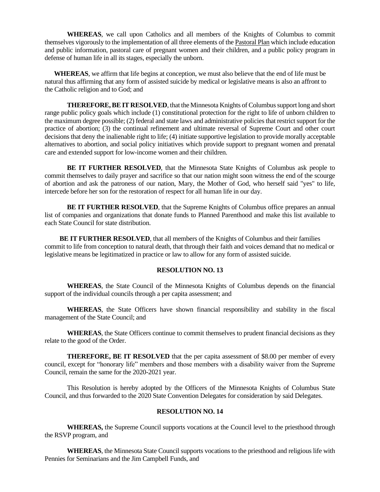**WHEREAS**, we call upon Catholics and all members of the Knights of Columbus to commit themselves vigorously to the implementation of all three elements of the Pastoral Plan which include education and public information, pastoral care of pregnant women and their children, and a public policy program in defense of human life in all its stages, especially the unborn.

**WHEREAS**, we affirm that life begins at conception, we must also believe that the end of life must be natural thus affirming that any form of assisted suicide by medical or legislative means is also an affront to the Catholic religion and to God; and

**THEREFORE, BE IT RESOLVED**, that the Minnesota Knights of Columbus support long and short range public policy goals which include (1) constitutional protection for the right to life of unborn children to the maximum degree possible; (2) federal and state laws and administrative policies that restrict support for the practice of abortion; (3) the continual refinement and ultimate reversal of Supreme Court and other court decisions that deny the inalienable right to life; (4) initiate supportive legislation to provide morally acceptable alternatives to abortion, and social policy initiatives which provide support to pregnant women and prenatal care and extended support for low-income women and their children.

**BE IT FURTHER RESOLVED**, that the Minnesota State Knights of Columbus ask people to commit themselves to daily prayer and sacrifice so that our nation might soon witness the end of the scourge of abortion and ask the patroness of our nation, Mary, the Mother of God, who herself said "yes" to life, intercede before her son for the restoration of respect for all human life in our day.

**BE IT FURTHER RESOLVED**, that the Supreme Knights of Columbus office prepares an annual list of companies and organizations that donate funds to Planned Parenthood and make this list available to each State Council for state distribution.

 **BE IT FURTHER RESOLVED**, that all members of the Knights of Columbus and their families commit to life from conception to natural death, that through their faith and voices demand that no medical or legislative means be legitimatized in practice or law to allow for any form of assisted suicide.

## **RESOLUTION NO. 13**

**WHEREAS**, the State Council of the Minnesota Knights of Columbus depends on the financial support of the individual councils through a per capita assessment; and

**WHEREAS**, the State Officers have shown financial responsibility and stability in the fiscal management of the State Council; and

**WHEREAS**, the State Officers continue to commit themselves to prudent financial decisions as they relate to the good of the Order.

**THEREFORE, BE IT RESOLVED** that the per capita assessment of \$8.00 per member of every council, except for "honorary life" members and those members with a disability waiver from the Supreme Council, remain the same for the 2020-2021 year.

This Resolution is hereby adopted by the Officers of the Minnesota Knights of Columbus State Council, and thus forwarded to the 2020 State Convention Delegates for consideration by said Delegates.

#### **RESOLUTION NO. 14**

**WHEREAS,** the Supreme Council supports vocations at the Council level to the priesthood through the RSVP program, and

**WHEREAS**, the Minnesota State Council supports vocations to the priesthood and religious life with Pennies for Seminarians and the Jim Campbell Funds, and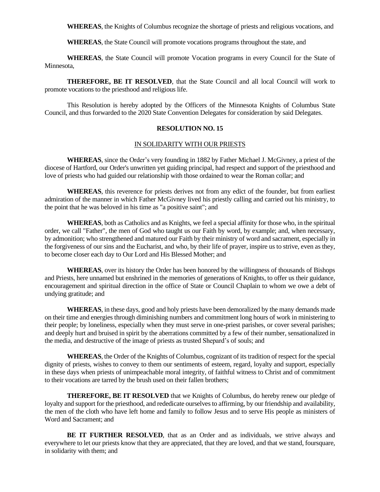**WHEREAS**, the Knights of Columbus recognize the shortage of priests and religious vocations, and

**WHEREAS**, the State Council will promote vocations programs throughout the state, and

**WHEREAS**, the State Council will promote Vocation programs in every Council for the State of Minnesota,

**THEREFORE, BE IT RESOLVED**, that the State Council and all local Council will work to promote vocations to the priesthood and religious life.

This Resolution is hereby adopted by the Officers of the Minnesota Knights of Columbus State Council, and thus forwarded to the 2020 State Convention Delegates for consideration by said Delegates.

#### **RESOLUTION NO. 15**

#### IN SOLIDARITY WITH OUR PRIESTS

**WHEREAS**, since the Order's very founding in 1882 by Father Michael J. McGivney, a priest of the diocese of Hartford, our Order's unwritten yet guiding principal, had respect and support of the priesthood and love of priests who had guided our relationship with those ordained to wear the Roman collar; and

**WHEREAS**, this reverence for priests derives not from any edict of the founder, but from earliest admiration of the manner in which Father McGivney lived his priestly calling and carried out his ministry, to the point that he was beloved in his time as "a positive saint"; and

**WHEREAS**, both as Catholics and as Knights, we feel a special affinity for those who, in the spiritual order, we call "Father", the men of God who taught us our Faith by word, by example; and, when necessary, by admonition; who strengthened and matured our Faith by their ministry of word and sacrament, especially in the forgiveness of our sins and the Eucharist, and who, by their life of prayer, inspire us to strive, even as they, to become closer each day to Our Lord and His Blessed Mother; and

**WHEREAS**, over its history the Order has been honored by the willingness of thousands of Bishops and Priests, here unnamed but enshrined in the memories of generations of Knights, to offer us their guidance, encouragement and spiritual direction in the office of State or Council Chaplain to whom we owe a debt of undying gratitude; and

**WHEREAS**, in these days, good and holy priests have been demoralized by the many demands made on their time and energies through diminishing numbers and commitment long hours of work in ministering to their people; by loneliness, especially when they must serve in one-priest parishes, or cover several parishes; and deeply hurt and bruised in spirit by the aberrations committed by a few of their number, sensationalized in the media, and destructive of the image of priests as trusted Shepard's of souls; and

**WHEREAS**, the Order of the Knights of Columbus, cognizant of its tradition of respect for the special dignity of priests, wishes to convey to them our sentiments of esteem, regard, loyalty and support, especially in these days when priests of unimpeachable moral integrity, of faithful witness to Christ and of commitment to their vocations are tarred by the brush used on their fallen brothers;

**THEREFORE, BE IT RESOLVED** that we Knights of Columbus, do hereby renew our pledge of loyalty and support for the priesthood, and rededicate ourselves to affirming, by our friendship and availability. the men of the cloth who have left home and family to follow Jesus and to serve His people as ministers of Word and Sacrament; and

**BE IT FURTHER RESOLVED**, that as an Order and as individuals, we strive always and everywhere to let our priests know that they are appreciated, that they are loved, and that we stand, foursquare, in solidarity with them; and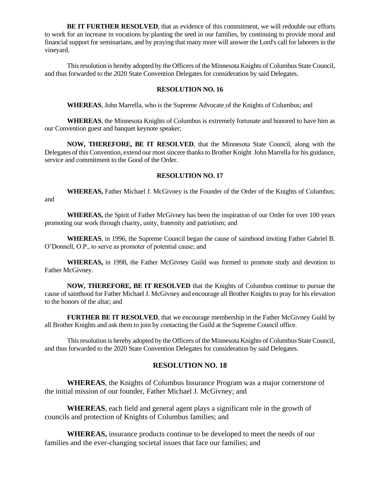**BE IT FURTHER RESOLVED**, that as evidence of this commitment, we will redouble our efforts to work for an increase in vocations by planting the seed in our families, by continuing to provide moral and financial support for seminarians, and by praying that many more will answer the Lord's call for laborers in the vineyard.

This resolution is hereby adopted by the Officers of the Minnesota Knights of Columbus State Council, and thus forwarded to the 2020 State Convention Delegates for consideration by said Delegates.

#### **RESOLUTION NO. 16**

**WHEREAS**, John Marrella, who is the Supreme Advocate of the Knights of Columbus; and

**WHEREAS**, the Minnesota Knights of Columbus is extremely fortunate and honored to have him as our Convention guest and banquet keynote speaker;

**NOW, THEREFORE, BE IT RESOLVED**, that the Minnesota State Council, along with the Delegates of this Convention, extend our most sincere thanks to Brother Knight John Marrella for his guidance, service and commitment to the Good of the Order.

#### **RESOLUTION NO. 17**

**WHEREAS,** Father Michael J. McGivney is the Founder of the Order of the Knights of Columbus; and

**WHEREAS,** the Spirit of Father McGivney has been the inspiration of our Order for over 100 years promoting our work through charity, unity, fraternity and patriotism; and

**WHEREAS**, in 1996, the Supreme Council began the cause of sainthood inviting Father Gabriel B. O'Donnell, O.P., to serve as promoter of potential cause; and

**WHEREAS,** in 1998, the Father McGivney Guild was formed to promote study and devotion to Father McGivney.

**NOW, THEREFORE, BE IT RESOLVED** that the Knights of Columbus continue to pursue the cause of sainthood for Father Michael J. McGivney and encourage all Brother Knights to pray for his elevation to the honors of the altar; and

**FURTHER BE IT RESOLVED**, that we encourage membership in the Father McGivney Guild by all Brother Knights and ask them to join by contacting the Guild at the Supreme Council office.

This resolution is hereby adopted by the Officers of the Minnesota Knights of Columbus State Council, and thus forwarded to the 2020 State Convention Delegates for consideration by said Delegates.

# **RESOLUTION NO. 18**

**WHEREAS**, the Knights of Columbus Insurance Program was a major cornerstone of the initial mission of our founder, Father Michael J. McGivney; and

**WHEREAS**, each field and general agent plays a significant role in the growth of councils and protection of Knights of Columbus families; and

**WHEREAS,** insurance products continue to be developed to meet the needs of our families and the ever-changing societal issues that face our families; and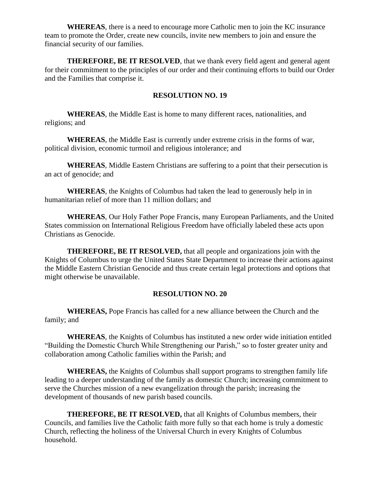**WHEREAS**, there is a need to encourage more Catholic men to join the KC insurance team to promote the Order, create new councils, invite new members to join and ensure the financial security of our families.

**THEREFORE, BE IT RESOLVED**, that we thank every field agent and general agent for their commitment to the principles of our order and their continuing efforts to build our Order and the Families that comprise it.

# **RESOLUTION NO. 19**

**WHEREAS**, the Middle East is home to many different races, nationalities, and religions; and

**WHEREAS**, the Middle East is currently under extreme crisis in the forms of war, political division, economic turmoil and religious intolerance; and

**WHEREAS**, Middle Eastern Christians are suffering to a point that their persecution is an act of genocide; and

**WHEREAS**, the Knights of Columbus had taken the lead to generously help in in humanitarian relief of more than 11 million dollars; and

**WHEREAS**, Our Holy Father Pope Francis, many European Parliaments, and the United States commission on International Religious Freedom have officially labeled these acts upon Christians as Genocide.

**THEREFORE, BE IT RESOLVED,** that all people and organizations join with the Knights of Columbus to urge the United States State Department to increase their actions against the Middle Eastern Christian Genocide and thus create certain legal protections and options that might otherwise be unavailable.

# **RESOLUTION NO. 20**

**WHEREAS,** Pope Francis has called for a new alliance between the Church and the family; and

**WHEREAS**, the Knights of Columbus has instituted a new order wide initiation entitled "Building the Domestic Church While Strengthening our Parish," so to foster greater unity and collaboration among Catholic families within the Parish; and

**WHEREAS,** the Knights of Columbus shall support programs to strengthen family life leading to a deeper understanding of the family as domestic Church; increasing commitment to serve the Churches mission of a new evangelization through the parish; increasing the development of thousands of new parish based councils.

**THEREFORE, BE IT RESOLVED,** that all Knights of Columbus members, their Councils, and families live the Catholic faith more fully so that each home is truly a domestic Church, reflecting the holiness of the Universal Church in every Knights of Columbus household.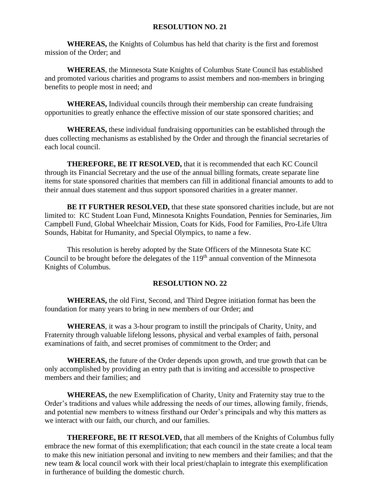# **RESOLUTION NO. 21**

**WHEREAS,** the Knights of Columbus has held that charity is the first and foremost mission of the Order; and

**WHEREAS**, the Minnesota State Knights of Columbus State Council has established and promoted various charities and programs to assist members and non-members in bringing benefits to people most in need; and

**WHEREAS,** Individual councils through their membership can create fundraising opportunities to greatly enhance the effective mission of our state sponsored charities; and

**WHEREAS,** these individual fundraising opportunities can be established through the dues collecting mechanisms as established by the Order and through the financial secretaries of each local council.

**THEREFORE, BE IT RESOLVED,** that it is recommended that each KC Council through its Financial Secretary and the use of the annual billing formats, create separate line items for state sponsored charities that members can fill in additional financial amounts to add to their annual dues statement and thus support sponsored charities in a greater manner.

**BE IT FURTHER RESOLVED,** that these state sponsored charities include, but are not limited to: KC Student Loan Fund, Minnesota Knights Foundation, Pennies for Seminaries, Jim Campbell Fund, Global Wheelchair Mission, Coats for Kids, Food for Families, Pro-Life Ultra Sounds, Habitat for Humanity, and Special Olympics, to name a few.

This resolution is hereby adopted by the State Officers of the Minnesota State KC Council to be brought before the delegates of the  $119<sup>th</sup>$  annual convention of the Minnesota Knights of Columbus.

# **RESOLUTION NO. 22**

**WHEREAS,** the old First, Second, and Third Degree initiation format has been the foundation for many years to bring in new members of our Order; and

**WHEREAS**, it was a 3-hour program to instill the principals of Charity, Unity, and Fraternity through valuable lifelong lessons, physical and verbal examples of faith, personal examinations of faith, and secret promises of commitment to the Order; and

**WHEREAS,** the future of the Order depends upon growth, and true growth that can be only accomplished by providing an entry path that is inviting and accessible to prospective members and their families; and

**WHEREAS,** the new Exemplification of Charity, Unity and Fraternity stay true to the Order's traditions and values while addressing the needs of our times, allowing family, friends, and potential new members to witness firsthand our Order's principals and why this matters as we interact with our faith, our church, and our families.

**THEREFORE, BE IT RESOLVED,** that all members of the Knights of Columbus fully embrace the new format of this exemplification; that each council in the state create a local team to make this new initiation personal and inviting to new members and their families; and that the new team & local council work with their local priest/chaplain to integrate this exemplification in furtherance of building the domestic church.